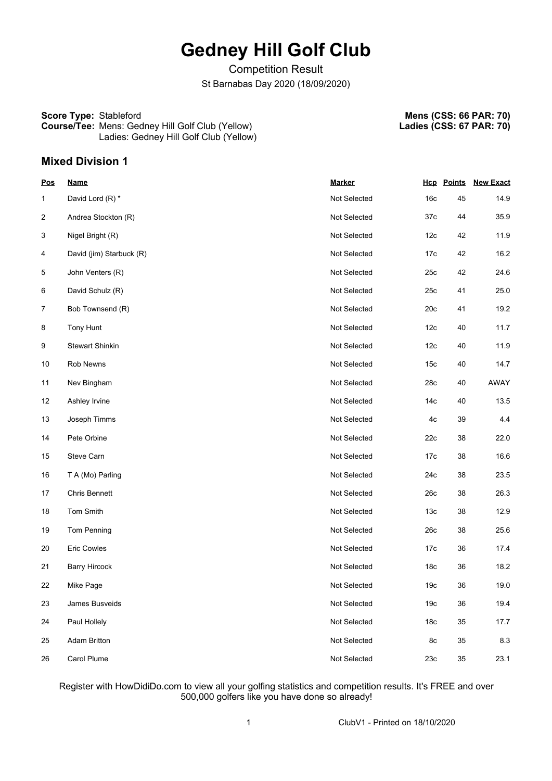# **Gedney Hill Golf Club**

Competition Result St Barnabas Day 2020 (18/09/2020)

## **Score Type:** Stableford **Course/Tee:** Mens: Gedney Hill Golf Club (Yellow)

**Mens (CSS: 66 PAR: 70) Ladies (CSS: 67 PAR: 70)**

Ladies: Gedney Hill Golf Club (Yellow)

### **Mixed Division 1**

| <b>Pos</b>     | <b>Name</b>              | <b>Marker</b> |                 | <b>Hcp</b> Points | <b>New Exact</b> |
|----------------|--------------------------|---------------|-----------------|-------------------|------------------|
| 1              | David Lord (R) *         | Not Selected  | 16 <sub>c</sub> | 45                | 14.9             |
| $\overline{c}$ | Andrea Stockton (R)      | Not Selected  | 37c             | 44                | 35.9             |
| 3              | Nigel Bright (R)         | Not Selected  | 12 <sub>c</sub> | 42                | 11.9             |
| 4              | David (jim) Starbuck (R) | Not Selected  | 17c             | 42                | 16.2             |
| 5              | John Venters (R)         | Not Selected  | 25c             | 42                | 24.6             |
| 6              | David Schulz (R)         | Not Selected  | 25c             | 41                | 25.0             |
| 7              | Bob Townsend (R)         | Not Selected  | 20c             | 41                | 19.2             |
| 8              | Tony Hunt                | Not Selected  | 12 <sub>c</sub> | 40                | 11.7             |
| 9              | <b>Stewart Shinkin</b>   | Not Selected  | 12 <sub>c</sub> | 40                | 11.9             |
| 10             | Rob Newns                | Not Selected  | 15 <sub>c</sub> | 40                | 14.7             |
| 11             | Nev Bingham              | Not Selected  | 28c             | 40                | AWAY             |
| 12             | Ashley Irvine            | Not Selected  | 14с             | 40                | 13.5             |
| 13             | Joseph Timms             | Not Selected  | 4c              | 39                | 4.4              |
| 14             | Pete Orbine              | Not Selected  | 22c             | 38                | 22.0             |
| 15             | Steve Carn               | Not Selected  | 17c             | 38                | 16.6             |
| 16             | T A (Mo) Parling         | Not Selected  | 24c             | 38                | 23.5             |
| 17             | <b>Chris Bennett</b>     | Not Selected  | 26c             | 38                | 26.3             |
| 18             | Tom Smith                | Not Selected  | 13 <sub>c</sub> | 38                | 12.9             |
| 19             | Tom Penning              | Not Selected  | 26c             | 38                | 25.6             |
| 20             | <b>Eric Cowles</b>       | Not Selected  | 17 <sub>c</sub> | 36                | 17.4             |
| 21             | <b>Barry Hircock</b>     | Not Selected  | 18 <sub>c</sub> | 36                | 18.2             |
| 22             | Mike Page                | Not Selected  | 19 <sub>c</sub> | 36                | 19.0             |
| 23             | James Busveids           | Not Selected  | 19 <sub>c</sub> | 36                | 19.4             |
| 24             | Paul Hollely             | Not Selected  | 18 <sub>c</sub> | 35                | 17.7             |
| 25             | <b>Adam Britton</b>      | Not Selected  | 8c              | 35                | 8.3              |
| 26             | Carol Plume              | Not Selected  | 23c             | 35                | 23.1             |

Register with HowDidiDo.com to view all your golfing statistics and competition results. It's FREE and over 500,000 golfers like you have done so already!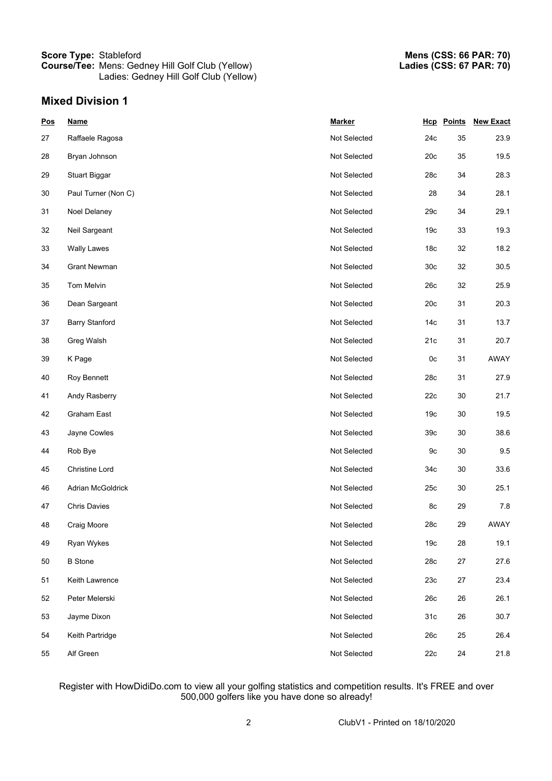#### **Score Type:** Stableford **Course/Tee:** Mens: Gedney Hill Golf Club (Yellow) Ladies: Gedney Hill Golf Club (Yellow)

## **Mixed Division 1**

| <b>Pos</b> | <b>Name</b>           | <b>Marker</b> |                 | <b>Hcp</b> Points | <b>New Exact</b> |
|------------|-----------------------|---------------|-----------------|-------------------|------------------|
| 27         | Raffaele Ragosa       | Not Selected  | 24c             | 35                | 23.9             |
| 28         | Bryan Johnson         | Not Selected  | 20c             | 35                | 19.5             |
| 29         | <b>Stuart Biggar</b>  | Not Selected  | 28c             | 34                | 28.3             |
| 30         | Paul Turner (Non C)   | Not Selected  | 28              | 34                | 28.1             |
| 31         | Noel Delaney          | Not Selected  | 29c             | 34                | 29.1             |
| 32         | Neil Sargeant         | Not Selected  | 19 <sub>c</sub> | 33                | 19.3             |
| 33         | <b>Wally Lawes</b>    | Not Selected  | 18 <sub>c</sub> | 32                | 18.2             |
| 34         | <b>Grant Newman</b>   | Not Selected  | 30 <sub>c</sub> | 32                | $30.5\,$         |
| 35         | Tom Melvin            | Not Selected  | 26c             | 32                | 25.9             |
| 36         | Dean Sargeant         | Not Selected  | 20c             | 31                | 20.3             |
| 37         | <b>Barry Stanford</b> | Not Selected  | 14 <sub>c</sub> | 31                | 13.7             |
| 38         | Greg Walsh            | Not Selected  | 21c             | 31                | 20.7             |
| 39         | K Page                | Not Selected  | 0 <sub>c</sub>  | 31                | AWAY             |
| 40         | Roy Bennett           | Not Selected  | 28c             | 31                | 27.9             |
| 41         | Andy Rasberry         | Not Selected  | 22c             | 30                | 21.7             |
| 42         | Graham East           | Not Selected  | 19 <sub>c</sub> | 30                | 19.5             |
| 43         | Jayne Cowles          | Not Selected  | 39 <sub>c</sub> | 30                | 38.6             |
| 44         | Rob Bye               | Not Selected  | 9с              | 30                | 9.5              |
| 45         | Christine Lord        | Not Selected  | 34c             | 30                | 33.6             |
| 46         | Adrian McGoldrick     | Not Selected  | 25c             | 30                | 25.1             |
| 47         | <b>Chris Davies</b>   | Not Selected  | 8c              | 29                | 7.8              |
| 48         | Craig Moore           | Not Selected  | 28c             | 29                | AWAY             |
| 49         | Ryan Wykes            | Not Selected  | 19 <sub>c</sub> | 28                | 19.1             |
| 50         | <b>B</b> Stone        | Not Selected  | 28c             | 27                | 27.6             |
| 51         | Keith Lawrence        | Not Selected  | 23c             | 27                | 23.4             |
| 52         | Peter Melerski        | Not Selected  | 26c             | 26                | 26.1             |
| 53         | Jayme Dixon           | Not Selected  | 31 <sub>c</sub> | 26                | 30.7             |
| 54         | Keith Partridge       | Not Selected  | 26c             | 25                | 26.4             |
| 55         | Alf Green             | Not Selected  | 22c             | 24                | 21.8             |

Register with HowDidiDo.com to view all your golfing statistics and competition results. It's FREE and over 500,000 golfers like you have done so already!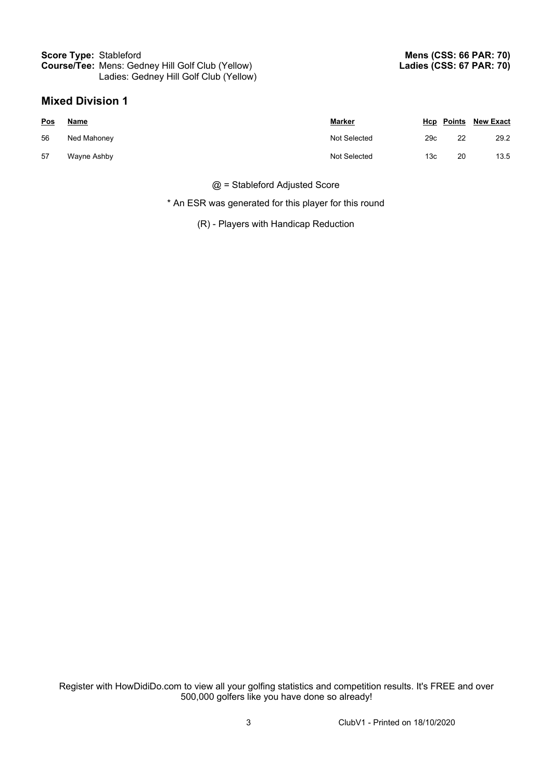#### **Score Type:** Stableford **Course/Tee:** Mens: Gedney Hill Golf Club (Yellow) Ladies: Gedney Hill Golf Club (Yellow)

### **Mixed Division 1**

| Pos | <u>Name</u> | <u>Marker</u> |                 |    | <b>Hcp Points New Exact</b> |
|-----|-------------|---------------|-----------------|----|-----------------------------|
| 56  | Ned Mahoney | Not Selected  | 29c             | 22 | 29.2                        |
| 57  | Wayne Ashby | Not Selected  | 13 <sub>c</sub> | 20 | 13.5                        |

@ = Stableford Adjusted Score

\* An ESR was generated for this player for this round

(R) - Players with Handicap Reduction

Register with HowDidiDo.com to view all your golfing statistics and competition results. It's FREE and over 500,000 golfers like you have done so already!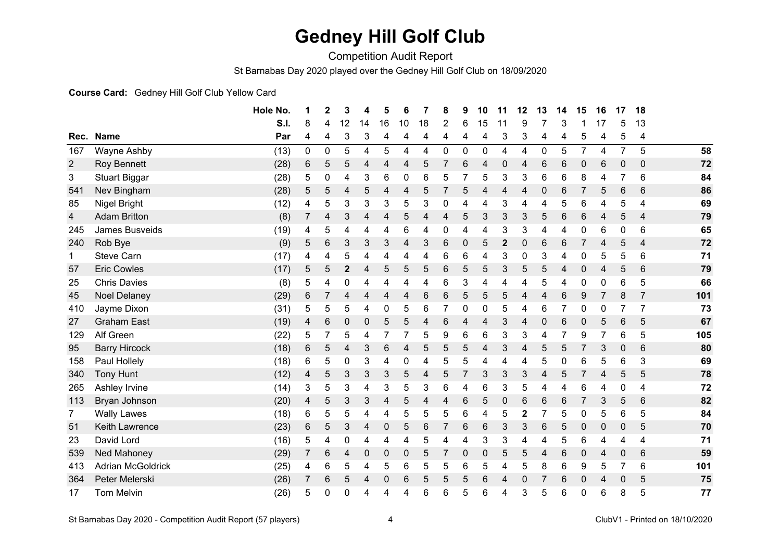## **Gedney Hill Golf Club**

Competition Audit Report

St Barnabas Day 2020 played over the Gedney Hill Golf Club on 18/09/2020

#### **Course Card:** Gedney Hill Golf Club Yellow Card

|                |                          | Hole No. | 1 | $\mathbf{2}$ | 3            | 4  | 5  | 6  | 7              | 8              | 9              | 10             | 11           | 12 | 13             | 14 | 15 | 16             | 17             | 18             |     |
|----------------|--------------------------|----------|---|--------------|--------------|----|----|----|----------------|----------------|----------------|----------------|--------------|----|----------------|----|----|----------------|----------------|----------------|-----|
|                |                          | S.I.     | 8 | 4            | 12           | 14 | 16 | 10 | 18             | $\overline{2}$ | 6              | 15             | 11           | 9  |                | 3  |    | 17             | 5              | 13             |     |
| Rec.           | <b>Name</b>              | Par      | 4 | 4            | 3            | 3  | 4  | 4  | 4              | 4              | 4              | 4              | 3            | 3  | 4              | 4  | 5  | 4              | 5              | 4              |     |
| 167            | Wayne Ashby              | (13)     | 0 | 0            | 5            | 4  | 5  | 4  | 4              | 0              | $\mathbf 0$    | $\mathbf 0$    | 4            | 4  | $\mathbf 0$    | 5  | 7  | 4              | $\overline{7}$ | 5              | 58  |
| $\overline{2}$ | Roy Bennett              | (28)     | 6 | 5            | 5            | 4  | 4  | 4  | 5              | 7              | 6              | $\overline{4}$ | $\mathbf{0}$ | 4  | 6              | 6  | 0  | 6              | $\Omega$       | $\mathbf{0}$   | 72  |
| 3              | <b>Stuart Biggar</b>     | (28)     | 5 | 0            | 4            | 3  | 6  | 0  | 6              | 5              | 7              | 5              | 3            | 3  | 6              | 6  | 8  | 4              | 7              | 6              | 84  |
| 541            | Nev Bingham              | (28)     | 5 | 5            | 4            | 5  | 4  | 4  | 5              |                | 5              | 4              | 4            | 4  | 0              | 6  |    | 5              | 6              | 6              | 86  |
| 85             | Nigel Bright             | (12)     | 4 | 5            | 3            | 3  | 3  | 5  | 3              | 0              | 4              | 4              | 3            | 4  | 4              | 5  | 6  | 4              | 5              | 4              | 69  |
| 4              | <b>Adam Britton</b>      | (8)      | 7 | 4            | 3            | 4  | 4  | 5  | 4              | 4              | 5              | 3              | 3            | 3  | 5              | 6  | 6  | 4              | 5              | 4              | 79  |
| 245            | James Busveids           | (19)     | 4 | 5            | 4            | 4  | 4  | 6  | 4              | 0              | 4              | 4              | 3            | 3  | 4              | 4  | 0  | 6              | 0              | 6              | 65  |
| 240            | Rob Bye                  | (9)      | 5 | 6            | 3            | 3  | 3  | 4  | 3              | 6              | 0              | 5              | $\mathbf{2}$ | 0  | 6              | 6  |    | 4              | 5              | 4              | 72  |
| $\mathbf 1$    | <b>Steve Carn</b>        | (17)     | 4 | 4            | 5            | 4  | 4  | 4  | 4              | 6              | 6              | 4              | 3            | 0  | 3              | 4  | 0  | 5              | 5              | 6              | 71  |
| 57             | <b>Eric Cowles</b>       | (17)     | 5 | 5            | $\mathbf{2}$ | 4  | 5  | 5  | 5              | 6              | 5              | 5              | 3            | 5  | 5              | 4  | 0  | 4              | 5              | 6              | 79  |
| 25             | <b>Chris Davies</b>      | (8)      | 5 | 4            | 0            | 4  | 4  | 4  | 4              | 6              | 3              | 4              | 4            | 4  | 5              | 4  | 0  | 0              | 6              | 5              | 66  |
| 45             | <b>Noel Delaney</b>      | (29)     | 6 | 7            | 4            | 4  | 4  | 4  | 6              | 6              | 5              | 5              | 5            | 4  | 4              | 6  | 9  | $\overline{7}$ | 8              | $\overline{7}$ | 101 |
| 410            | Jayme Dixon              | (31)     | 5 | 5            | 5            | 4  | 0  | 5  | 6              | 7              | 0              | 0              | 5            | 4  | 6              | 7  | 0  | 0              | $\overline{7}$ | 7              | 73  |
| 27             | <b>Graham East</b>       | (19)     | 4 | 6            | 0            | 0  | 5  | 5  | 4              | 6              | 4              | 4              | 3            | 4  | 0              | 6  | 0  | 5              | 6              | 5              | 67  |
| 129            | Alf Green                | (22)     | 5 | 7            | 5            | 4  | 7  |    | 5              | 9              | 6              | 6              | 3            | 3  | 4              |    | 9  | 7              | 6              | 5              | 105 |
| 95             | <b>Barry Hircock</b>     | (18)     | 6 | 5            | 4            | 3  | 6  | 4  | 5              | 5              | 5              | 4              | 3            | 4  | 5              | 5  |    | 3              | 0              | 6              | 80  |
| 158            | Paul Hollely             | (18)     | 6 | 5            | 0            | 3  | 4  | 0  | 4              | 5              | 5              | 4              | 4            | 4  | 5              | 0  | 6  | 5              | 6              | 3              | 69  |
| 340            | <b>Tony Hunt</b>         | (12)     | 4 | 5            | 3            | 3  | 3  | 5  | $\overline{4}$ | 5              | $\overline{7}$ | 3              | 3            | 3  | 4              | 5  |    | 4              | 5              | 5              | 78  |
| 265            | Ashley Irvine            | (14)     | 3 | 5            | 3            | 4  | 3  | 5  | 3              | 6              | 4              | 6              | 3            | 5  | 4              | 4  | 6  | 4              | 0              | 4              | 72  |
| 113            | Bryan Johnson            | (20)     | 4 | 5            | 3            | 3  | 4  | 5  | 4              | 4              | 6              | 5              | 0            | 6  | 6              | 6  |    | 3              | 5              | 6              | 82  |
| $\mathbf{7}$   | <b>Wally Lawes</b>       | (18)     | 6 | 5            | 5            | 4  | 4  | 5  | 5              | 5              | 6              | 4              | 5            | 2  | 7              | 5  | 0  | 5              | 6              | 5              | 84  |
| 51             | Keith Lawrence           | (23)     | 6 | 5            | 3            | 4  | 0  | 5  | 6              | $\overline{7}$ | 6              | 6              | 3            | 3  | 6              | 5  | 0  | 0              | 0              | 5              | 70  |
| 23             | David Lord               | (16)     | 5 | 4            | 0            | 4  | 4  | 4  | 5              | 4              | 4              | 3              | 3            | 4  | 4              | 5  | 6  | 4              | 4              | 4              | 71  |
| 539            | Ned Mahoney              | (29)     | 7 | 6            | 4            | 0  | 0  | 0  | 5              | 7              | 0              | 0              | 5            | 5  | $\overline{4}$ | 6  | 0  | 4              | 0              | 6              | 59  |
| 413            | <b>Adrian McGoldrick</b> | (25)     | 4 | 6            | 5            | 4  | 5  | 6  | 5              | 5              | 6              | 5              | 4            | 5  | 8              | 6  | 9  | 5              | 7              | 6              | 101 |
| 364            | Peter Melerski           | (26)     | 7 | 6            | 5            | 4  | 0  | 6  | 5              | 5              | 5              | 6              | 4            | 0  | 7              | 6  | 0  | 4              | $\mathbf 0$    | 5              | 75  |
| 17             | <b>Tom Melvin</b>        | (26)     | 5 | 0            | 0            | 4  | 4  | 4  | 6              | 6              | 5              | 6              | 4            | 3  | 5              | 6  | 0  | 6              | 8              | 5              | 77  |